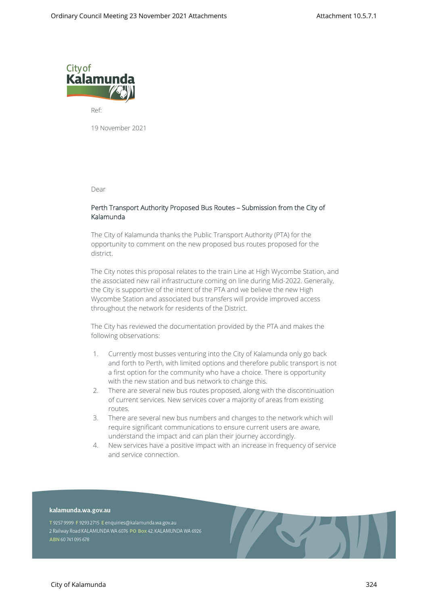

Ref:

19 November 2021

Dear

## **Perth Transport Authority Proposed Bus Routes – Submission from the City of Kalamunda**

The City of Kalamunda thanks the Public Transport Authority (PTA) for the opportunity to comment on the new proposed bus routes proposed for the district.

The City notes this proposal relates to the train Line at High Wycombe Station, and the associated new rail infrastructure coming on line during Mid-2022. Generally, the City is supportive of the intent of the PTA and we believe the new High Wycombe Station and associated bus transfers will provide improved access throughout the network for residents of the District.

The City has reviewed the documentation provided by the PTA and makes the following observations:

- 1. Currently most busses venturing into the City of Kalamunda only go back and forth to Perth, with limited options and therefore public transport is not a first option for the community who have a choice. There is opportunity with the new station and bus network to change this.
- 2. There are several new bus routes proposed, along with the discontinuation of current services. New services cover a majority of areas from existing routes.
- 3. There are several new bus numbers and changes to the network which will require significant communications to ensure current users are aware, understand the impact and can plan their journey accordingly.
- 4. New services have a positive impact with an increase in frequency of service and service connection.

## kalamunda.wa.gov.au

T 9257 9999 F 9293 2715 E enquiries@kalamunda.wa.gov.au 2 Railway Road KALAMUNDA WA 6076 PO Box 42, KALAMUNDA WA 6926 ABN 60741095678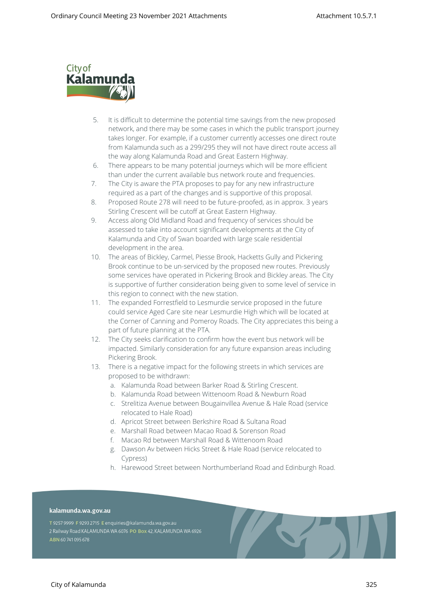

- 5. It is difficult to determine the potential time savings from the new proposed network, and there may be some cases in which the public transport journey takes longer. For example, if a customer currently accesses one direct route from Kalamunda such as a 299/295 they will not have direct route access all the way along Kalamunda Road and Great Eastern Highway.
- 6. There appears to be many potential journeys which will be more efficient than under the current available bus network route and frequencies.
- 7. The City is aware the PTA proposes to pay for any new infrastructure required as a part of the changes and is supportive of this proposal.
- 8. Proposed Route 278 will need to be future-proofed, as in approx. 3 years Stirling Crescent will be cutoff at Great Eastern Highway.
- 9. Access along Old Midland Road and frequency of services should be assessed to take into account significant developments at the City of Kalamunda and City of Swan boarded with large scale residential development in the area.
- 10. The areas of Bickley, Carmel, Piesse Brook, Hacketts Gully and Pickering Brook continue to be un-serviced by the proposed new routes. Previously some services have operated in Pickering Brook and Bickley areas. The City is supportive of further consideration being given to some level of service in this region to connect with the new station.
- 11. The expanded Forrestfield to Lesmurdie service proposed in the future could service Aged Care site near Lesmurdie High which will be located at the Corner of Canning and Pomeroy Roads. The City appreciates this being a part of future planning at the PTA.
- 12. The City seeks clarification to confirm how the event bus network will be impacted. Similarly consideration for any future expansion areas including Pickering Brook.
- 13. There is a negative impact for the following streets in which services are proposed to be withdrawn:
	- a. Kalamunda Road between Barker Road & Stirling Crescent.
	- b. Kalamunda Road between Wittenoom Road & Newburn Road
	- c. Strelitiza Avenue between Bougainvillea Avenue & Hale Road (service relocated to Hale Road)
	- d. Apricot Street between Berkshire Road & Sultana Road
	- e. Marshall Road between Macao Road & Sorenson Road
	- f. Macao Rd between Marshall Road & Wittenoom Road
	- g. Dawson Av between Hicks Street & Hale Road (service relocated to Cypress)
	- h. Harewood Street between Northumberland Road and Edinburgh Road.

## kalamunda.wa.gov.au

T 9257 9999 F 9293 2715 E enquiries@kalamunda.wa.gov.au 2 Railway Road KALAMUNDA WA 6076 PO Box 42, KALAMUNDA WA 6926 ABN 60741095678

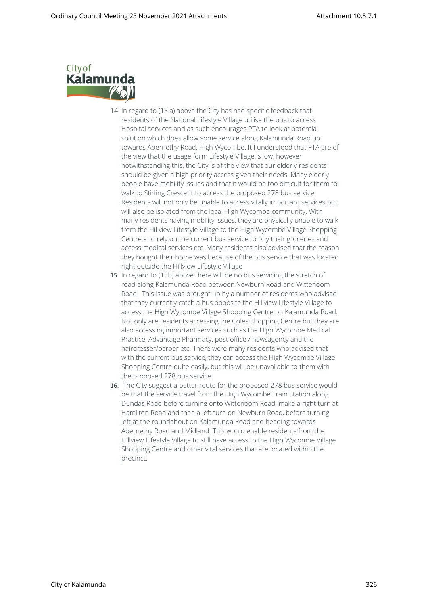

- 14. In regard to (13.a) above the City has had specific feedback that residents of the National Lifestyle Village utilise the bus to access Hospital services and as such encourages PTA to look at potential solution which does allow some service along Kalamunda Road up towards Abernethy Road, High Wycombe. It I understood that PTA are of the view that the usage form Lifestyle Village is low, however notwithstanding this, the City is of the view that our elderly residents should be given a high priority access given their needs. Many elderly people have mobility issues and that it would be too difficult for them to walk to Stirling Crescent to access the proposed 278 bus service. Residents will not only be unable to access vitally important services but will also be isolated from the local High Wycombe community. With many residents having mobility issues, they are physically unable to walk from the Hillview Lifestyle Village to the High Wycombe Village Shopping Centre and rely on the current bus service to buy their groceries and access medical services etc. Many residents also advised that the reason they bought their home was because of the bus service that was located right outside the Hillview Lifestyle Village
- 15. In regard to (13b) above there will be no bus servicing the stretch of road along Kalamunda Road between Newburn Road and Wittenoom Road. This issue was brought up by a number of residents who advised that they currently catch a bus opposite the Hillview Lifestyle Village to access the High Wycombe Village Shopping Centre on Kalamunda Road. Not only are residents accessing the Coles Shopping Centre but they are also accessing important services such as the High Wycombe Medical Practice, Advantage Pharmacy, post office / newsagency and the hairdresser/barber etc. There were many residents who advised that with the current bus service, they can access the High Wycombe Village Shopping Centre quite easily, but this will be unavailable to them with the proposed 278 bus service.
- 16. The City suggest a better route for the proposed 278 bus service would be that the service travel from the High Wycombe Train Station along Dundas Road before turning onto Wittenoom Road, make a right turn at Hamilton Road and then a left turn on Newburn Road, before turning left at the roundabout on Kalamunda Road and heading towards Abernethy Road and Midland. This would enable residents from the Hillview Lifestyle Village to still have access to the High Wycombe Village Shopping Centre and other vital services that are located within the precinct.